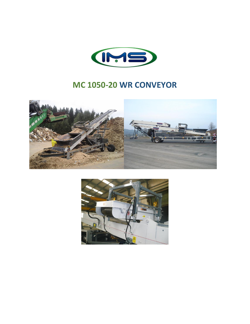

# **MC 1050-20 WR CONVEYOR**



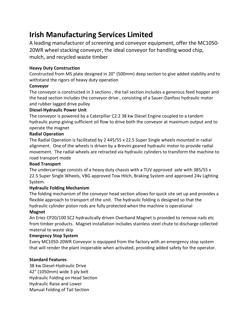# **Irish Manufacturing Services Limited**

A leading manufacturer of screening and conveyor equipment, offer the MC1050- 20WR wheel stacking conveyor, the ideal conveyor for handling wood chip, mulch, and recycled waste timber

# **Heavy Duty Construction**

Constructed from MS plate designed in 20" (500mm) deep section to give added stability and to withstand the rigors of heavy duty operation

## **Conveyor**

The conveyor is constructed in 3 sections , the tail section includes a generous feed hopper and the head section includes the conveyor drive , consisting of a Sauer-Danfoss hydraulic motor and rubber lagged drive pulley

## **Diesel-Hydraulic Power Unit**

The conveyor is powered by a Caterpillar C2.2 38 kw Diesel Engine coupled to a tandem hydraulic pump giving sufficient oil flow to drive both the conveyor at maximum output and to operate the magnet

## **Radial Operation**

The Radial Operation is facilitated by 2 445/55 x 22.5 Super Single wheels mounted in radial alignment. One of the wheels is driven by a Brevini geared hydraulic motor to provide radial movement. The radial wheels are retracted via hydraulic cylinders to transform the machine to road transport mode

#### **Road Transport**

The undercarriage consists of a heavy duty chassis with a TUV approved axle with 385/55 x 22.5 Super Single Wheels, VBG approved Tow Hitch, Braking System and approved 24v Lighting System.

# **Hydraulic Folding Mechanism**

The folding mechanism of the conveyor head section allows for quick site set up and provides a flexible approach to transport of the unit. The hydraulic folding is designed so that the hydraulic cylinder piston rods are fully protected when the machine is operational

# **Magnet**

An Eriez CP20/100 SC2 hydraulically driven Overband Magnet is provided to remove nails etc from timber products. Magnet installation includes stainless steel chute to discharge collected material to waste skip

#### **Emergency Stop System**

Every MC1050-20WR Conveyor is equipped from the factory with an emergency stop system that will render the plant inoperable when activated, providing added safety for the operator.

# **Standard Features**

38 kw Diesel-Hydraulic Drive 42" (1050mm) wide 3 ply belt Hydraulic Folding on Head Section Hydraulic Raise and Lower Manual Folding of Tail Section